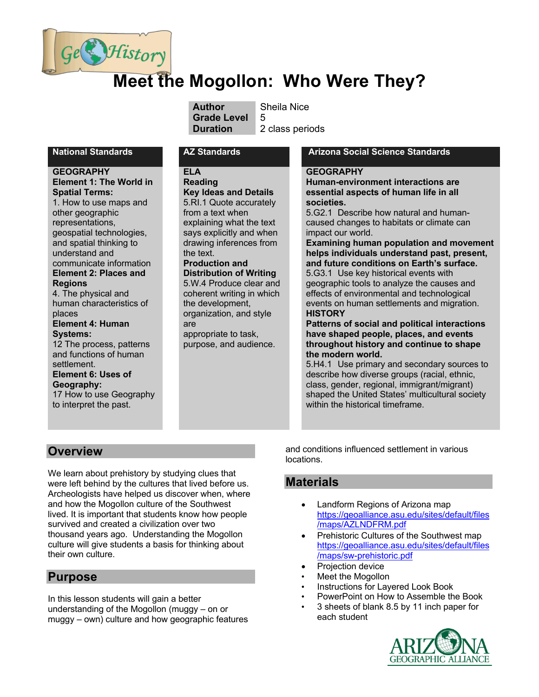

# **Meet the Mogollon: Who Were They?**

**Grade Level** 5

**Author** Sheila Nice

**Duration** 2 class periods

#### **GEOGRAPHY Element 1: The World in Spatial Terms:**

1. How to use maps and other geographic representations, geospatial technologies, and spatial thinking to understand and communicate information **Element 2: Places and Regions** 4. The physical and human characteristics of places **Element 4: Human Systems:**  12 The process, patterns and functions of human

#### settlement.

**Element 6: Uses of Geography:** 

17 How to use Geography to interpret the past.

#### **ELA Reading**

**Key Ideas and Details** 5.RI.1 Quote accurately from a text when explaining what the text says explicitly and when drawing inferences from the text. **Production and Distribution of Writing**

# 5.W.4 Produce clear and

coherent writing in which the development, organization, and style are

appropriate to task, purpose, and audience.

#### **National Standards AZ Standards Arizona Social Science Standards**

#### **GEOGRAPHY**

**Human-environment interactions are essential aspects of human life in all societies.**

5.G2.1 Describe how natural and humancaused changes to habitats or climate can impact our world.

**Examining human population and movement helps individuals understand past, present, and future conditions on Earth's surface.** 5.G3.1 Use key historical events with geographic tools to analyze the causes and effects of environmental and technological events on human settlements and migration. **HISTORY**

**Patterns of social and political interactions have shaped people, places, and events throughout history and continue to shape the modern world.**

5.H4.1 Use primary and secondary sources to describe how diverse groups (racial, ethnic, class, gender, regional, immigrant/migrant) shaped the United States' multicultural society within the historical timeframe.

# **Overview**

We learn about prehistory by studying clues that were left behind by the cultures that lived before us. Archeologists have helped us discover when, where and how the Mogollon culture of the Southwest lived. It is important that students know how people survived and created a civilization over two thousand years ago. Understanding the Mogollon culture will give students a basis for thinking about their own culture.

# **Purpose**

In this lesson students will gain a better understanding of the Mogollon (muggy – on or muggy – own) culture and how geographic features and conditions influenced settlement in various locations.

### **Materials**

- Landform Regions of Arizona map https://geoalliance.asu.edu/sites/default/files /maps/AZLNDFRM.pdf
- Prehistoric Cultures of the Southwest map https://geoalliance.asu.edu/sites/default/files /maps/sw-prehistoric.pdf
- Projection device
- Meet the Mogollon
- Instructions for Layered Look Book
- PowerPoint on How to Assemble the Book
- 3 sheets of blank 8.5 by 11 inch paper for each student